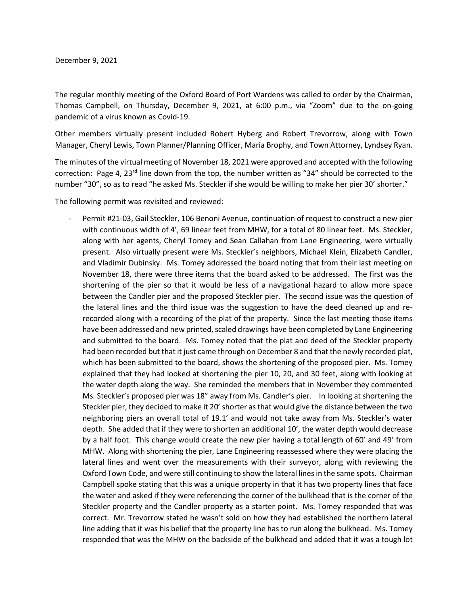The regular monthly meeting of the Oxford Board of Port Wardens was called to order by the Chairman, Thomas Campbell, on Thursday, December 9, 2021, at 6:00 p.m., via "Zoom" due to the on-going pandemic of a virus known as Covid-19.

Other members virtually present included Robert Hyberg and Robert Trevorrow, along with Town Manager, Cheryl Lewis, Town Planner/Planning Officer, Maria Brophy, and Town Attorney, Lyndsey Ryan.

The minutes of the virtual meeting of November 18, 2021 were approved and accepted with the following correction: Page 4, 23<sup>rd</sup> line down from the top, the number written as "34" should be corrected to the number "30", so as to read "he asked Ms. Steckler if she would be willing to make her pier 30' shorter."

The following permit was revisited and reviewed:

Permit #21-03, Gail Steckler, 106 Benoni Avenue, continuation of request to construct a new pier with continuous width of 4', 69 linear feet from MHW, for a total of 80 linear feet. Ms. Steckler, along with her agents, Cheryl Tomey and Sean Callahan from Lane Engineering, were virtually present. Also virtually present were Ms. Steckler's neighbors, Michael Klein, Elizabeth Candler, and Vladimir Dubinsky. Ms. Tomey addressed the board noting that from their last meeting on November 18, there were three items that the board asked to be addressed. The first was the shortening of the pier so that it would be less of a navigational hazard to allow more space between the Candler pier and the proposed Steckler pier. The second issue was the question of the lateral lines and the third issue was the suggestion to have the deed cleaned up and rerecorded along with a recording of the plat of the property. Since the last meeting those items have been addressed and new printed, scaled drawings have been completed by Lane Engineering and submitted to the board. Ms. Tomey noted that the plat and deed of the Steckler property had been recorded but that it just came through on December 8 and that the newly recorded plat, which has been submitted to the board, shows the shortening of the proposed pier. Ms. Tomey explained that they had looked at shortening the pier 10, 20, and 30 feet, along with looking at the water depth along the way. She reminded the members that in November they commented Ms. Steckler's proposed pier was 18" away from Ms. Candler's pier. In looking at shortening the Steckler pier, they decided to make it 20' shorter as that would give the distance between the two neighboring piers an overall total of 19.1' and would not take away from Ms. Steckler's water depth. She added that if they were to shorten an additional 10', the water depth would decrease by a half foot. This change would create the new pier having a total length of 60' and 49' from MHW. Along with shortening the pier, Lane Engineering reassessed where they were placing the lateral lines and went over the measurements with their surveyor, along with reviewing the Oxford Town Code, and were still continuing to show the lateral lines in the same spots. Chairman Campbell spoke stating that this was a unique property in that it has two property lines that face the water and asked if they were referencing the corner of the bulkhead that is the corner of the Steckler property and the Candler property as a starter point. Ms. Tomey responded that was correct. Mr. Trevorrow stated he wasn't sold on how they had established the northern lateral line adding that it was his belief that the property line has to run along the bulkhead. Ms. Tomey responded that was the MHW on the backside of the bulkhead and added that it was a tough lot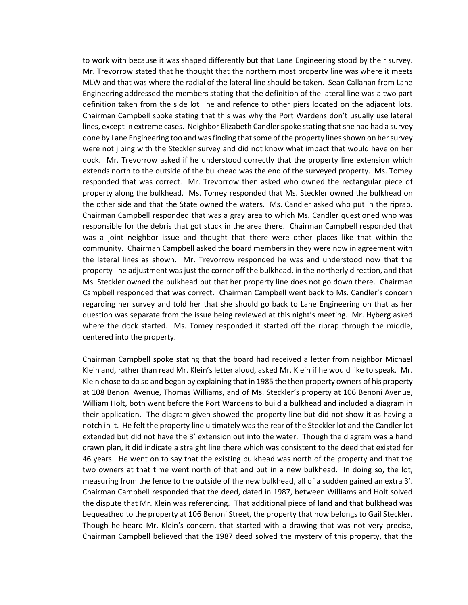to work with because it was shaped differently but that Lane Engineering stood by their survey. Mr. Trevorrow stated that he thought that the northern most property line was where it meets MLW and that was where the radial of the lateral line should be taken. Sean Callahan from Lane Engineering addressed the members stating that the definition of the lateral line was a two part definition taken from the side lot line and refence to other piers located on the adjacent lots. Chairman Campbell spoke stating that this was why the Port Wardens don't usually use lateral lines, except in extreme cases. Neighbor Elizabeth Candler spoke stating that she had had a survey done by Lane Engineering too and was finding that some of the property lines shown on her survey were not jibing with the Steckler survey and did not know what impact that would have on her dock. Mr. Trevorrow asked if he understood correctly that the property line extension which extends north to the outside of the bulkhead was the end of the surveyed property. Ms. Tomey responded that was correct. Mr. Trevorrow then asked who owned the rectangular piece of property along the bulkhead. Ms. Tomey responded that Ms. Steckler owned the bulkhead on the other side and that the State owned the waters. Ms. Candler asked who put in the riprap. Chairman Campbell responded that was a gray area to which Ms. Candler questioned who was responsible for the debris that got stuck in the area there. Chairman Campbell responded that was a joint neighbor issue and thought that there were other places like that within the community. Chairman Campbell asked the board members in they were now in agreement with the lateral lines as shown. Mr. Trevorrow responded he was and understood now that the property line adjustment was just the corner off the bulkhead, in the northerly direction, and that Ms. Steckler owned the bulkhead but that her property line does not go down there. Chairman Campbell responded that was correct. Chairman Campbell went back to Ms. Candler's concern regarding her survey and told her that she should go back to Lane Engineering on that as her question was separate from the issue being reviewed at this night's meeting. Mr. Hyberg asked where the dock started. Ms. Tomey responded it started off the riprap through the middle, centered into the property.

Chairman Campbell spoke stating that the board had received a letter from neighbor Michael Klein and, rather than read Mr. Klein's letter aloud, asked Mr. Klein if he would like to speak. Mr. Klein chose to do so and began by explaining that in 1985 the then property owners of his property at 108 Benoni Avenue, Thomas Williams, and of Ms. Steckler's property at 106 Benoni Avenue, William Holt, both went before the Port Wardens to build a bulkhead and included a diagram in their application. The diagram given showed the property line but did not show it as having a notch in it. He felt the property line ultimately was the rear of the Steckler lot and the Candler lot extended but did not have the 3' extension out into the water. Though the diagram was a hand drawn plan, it did indicate a straight line there which was consistent to the deed that existed for 46 years. He went on to say that the existing bulkhead was north of the property and that the two owners at that time went north of that and put in a new bulkhead. In doing so, the lot, measuring from the fence to the outside of the new bulkhead, all of a sudden gained an extra 3'. Chairman Campbell responded that the deed, dated in 1987, between Williams and Holt solved the dispute that Mr. Klein was referencing. That additional piece of land and that bulkhead was bequeathed to the property at 106 Benoni Street, the property that now belongs to Gail Steckler. Though he heard Mr. Klein's concern, that started with a drawing that was not very precise, Chairman Campbell believed that the 1987 deed solved the mystery of this property, that the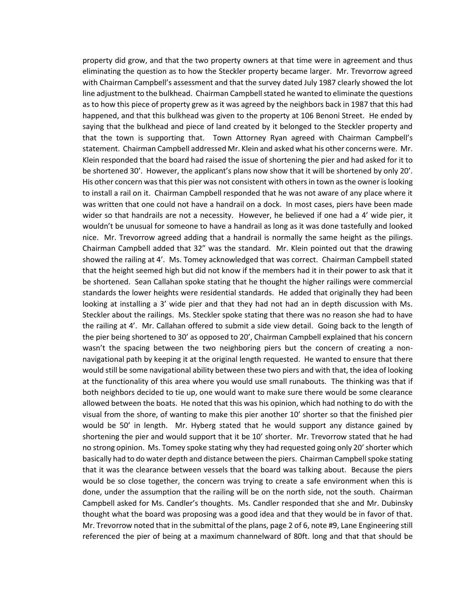property did grow, and that the two property owners at that time were in agreement and thus eliminating the question as to how the Steckler property became larger. Mr. Trevorrow agreed with Chairman Campbell's assessment and that the survey dated July 1987 clearly showed the lot line adjustment to the bulkhead. Chairman Campbell stated he wanted to eliminate the questions as to how this piece of property grew as it was agreed by the neighbors back in 1987 that this had happened, and that this bulkhead was given to the property at 106 Benoni Street. He ended by saying that the bulkhead and piece of land created by it belonged to the Steckler property and that the town is supporting that. Town Attorney Ryan agreed with Chairman Campbell's statement. Chairman Campbell addressed Mr. Klein and asked what his other concerns were. Mr. Klein responded that the board had raised the issue of shortening the pier and had asked for it to be shortened 30'. However, the applicant's plans now show that it will be shortened by only 20'. His other concern was that this pier was not consistent with others in town as the owner is looking to install a rail on it. Chairman Campbell responded that he was not aware of any place where it was written that one could not have a handrail on a dock. In most cases, piers have been made wider so that handrails are not a necessity. However, he believed if one had a 4' wide pier, it wouldn't be unusual for someone to have a handrail as long as it was done tastefully and looked nice. Mr. Trevorrow agreed adding that a handrail is normally the same height as the pilings. Chairman Campbell added that 32" was the standard. Mr. Klein pointed out that the drawing showed the railing at 4'. Ms. Tomey acknowledged that was correct. Chairman Campbell stated that the height seemed high but did not know if the members had it in their power to ask that it be shortened. Sean Callahan spoke stating that he thought the higher railings were commercial standards the lower heights were residential standards. He added that originally they had been looking at installing a 3' wide pier and that they had not had an in depth discussion with Ms. Steckler about the railings. Ms. Steckler spoke stating that there was no reason she had to have the railing at 4'. Mr. Callahan offered to submit a side view detail. Going back to the length of the pier being shortened to 30' as opposed to 20', Chairman Campbell explained that his concern wasn't the spacing between the two neighboring piers but the concern of creating a nonnavigational path by keeping it at the original length requested. He wanted to ensure that there would still be some navigational ability between these two piers and with that, the idea of looking at the functionality of this area where you would use small runabouts. The thinking was that if both neighbors decided to tie up, one would want to make sure there would be some clearance allowed between the boats. He noted that this was his opinion, which had nothing to do with the visual from the shore, of wanting to make this pier another 10' shorter so that the finished pier would be 50' in length. Mr. Hyberg stated that he would support any distance gained by shortening the pier and would support that it be 10' shorter. Mr. Trevorrow stated that he had no strong opinion. Ms. Tomey spoke stating why they had requested going only 20' shorter which basically had to do water depth and distance between the piers. Chairman Campbell spoke stating that it was the clearance between vessels that the board was talking about. Because the piers would be so close together, the concern was trying to create a safe environment when this is done, under the assumption that the railing will be on the north side, not the south. Chairman Campbell asked for Ms. Candler's thoughts. Ms. Candler responded that she and Mr. Dubinsky thought what the board was proposing was a good idea and that they would be in favor of that. Mr. Trevorrow noted that in the submittal of the plans, page 2 of 6, note #9, Lane Engineering still referenced the pier of being at a maximum channelward of 80ft. long and that that should be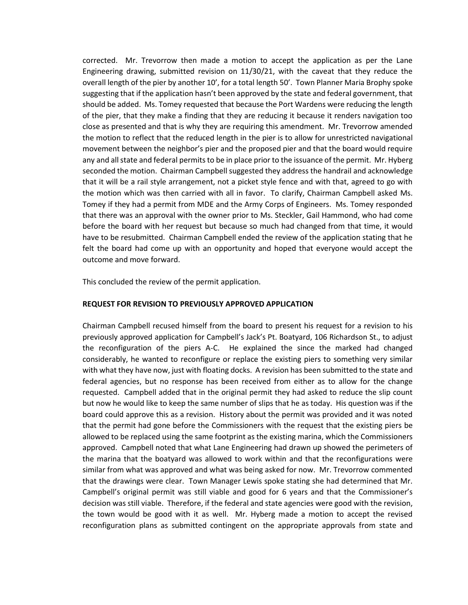corrected. Mr. Trevorrow then made a motion to accept the application as per the Lane Engineering drawing, submitted revision on 11/30/21, with the caveat that they reduce the overall length of the pier by another 10', for a total length 50'. Town Planner Maria Brophy spoke suggesting that if the application hasn't been approved by the state and federal government, that should be added. Ms. Tomey requested that because the Port Wardens were reducing the length of the pier, that they make a finding that they are reducing it because it renders navigation too close as presented and that is why they are requiring this amendment. Mr. Trevorrow amended the motion to reflect that the reduced length in the pier is to allow for unrestricted navigational movement between the neighbor's pier and the proposed pier and that the board would require any and all state and federal permits to be in place prior to the issuance of the permit. Mr. Hyberg seconded the motion. Chairman Campbell suggested they address the handrail and acknowledge that it will be a rail style arrangement, not a picket style fence and with that, agreed to go with the motion which was then carried with all in favor. To clarify, Chairman Campbell asked Ms. Tomey if they had a permit from MDE and the Army Corps of Engineers. Ms. Tomey responded that there was an approval with the owner prior to Ms. Steckler, Gail Hammond, who had come before the board with her request but because so much had changed from that time, it would have to be resubmitted. Chairman Campbell ended the review of the application stating that he felt the board had come up with an opportunity and hoped that everyone would accept the outcome and move forward.

This concluded the review of the permit application.

## **REQUEST FOR REVISION TO PREVIOUSLY APPROVED APPLICATION**

Chairman Campbell recused himself from the board to present his request for a revision to his previously approved application for Campbell's Jack's Pt. Boatyard, 106 Richardson St., to adjust the reconfiguration of the piers A-C. He explained the since the marked had changed considerably, he wanted to reconfigure or replace the existing piers to something very similar with what they have now, just with floating docks. A revision has been submitted to the state and federal agencies, but no response has been received from either as to allow for the change requested. Campbell added that in the original permit they had asked to reduce the slip count but now he would like to keep the same number of slips that he as today. His question was if the board could approve this as a revision. History about the permit was provided and it was noted that the permit had gone before the Commissioners with the request that the existing piers be allowed to be replaced using the same footprint as the existing marina, which the Commissioners approved. Campbell noted that what Lane Engineering had drawn up showed the perimeters of the marina that the boatyard was allowed to work within and that the reconfigurations were similar from what was approved and what was being asked for now. Mr. Trevorrow commented that the drawings were clear. Town Manager Lewis spoke stating she had determined that Mr. Campbell's original permit was still viable and good for 6 years and that the Commissioner's decision was still viable. Therefore, if the federal and state agencies were good with the revision, the town would be good with it as well. Mr. Hyberg made a motion to accept the revised reconfiguration plans as submitted contingent on the appropriate approvals from state and